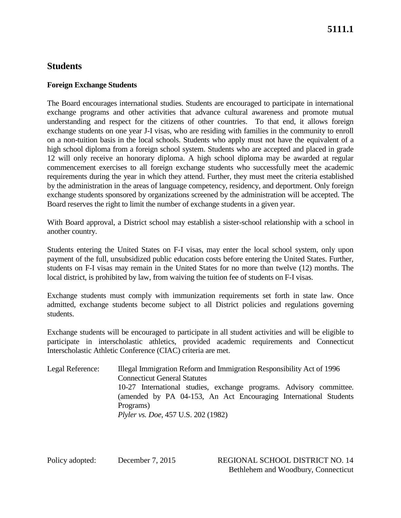# **Students**

### **Foreign Exchange Students**

The Board encourages international studies. Students are encouraged to participate in international exchange programs and other activities that advance cultural awareness and promote mutual understanding and respect for the citizens of other countries. To that end, it allows foreign exchange students on one year J-I visas, who are residing with families in the community to enroll on a non-tuition basis in the local schools. Students who apply must not have the equivalent of a high school diploma from a foreign school system. Students who are accepted and placed in grade 12 will only receive an honorary diploma. A high school diploma may be awarded at regular commencement exercises to all foreign exchange students who successfully meet the academic requirements during the year in which they attend. Further, they must meet the criteria established by the administration in the areas of language competency, residency, and deportment. Only foreign exchange students sponsored by organizations screened by the administration will be accepted. The Board reserves the right to limit the number of exchange students in a given year.

With Board approval, a District school may establish a sister-school relationship with a school in another country.

Students entering the United States on F-I visas, may enter the local school system, only upon payment of the full, unsubsidized public education costs before entering the United States. Further, students on F-I visas may remain in the United States for no more than twelve (12) months. The local district, is prohibited by law, from waiving the tuition fee of students on F-I visas.

Exchange students must comply with immunization requirements set forth in state law. Once admitted, exchange students become subject to all District policies and regulations governing students.

Exchange students will be encouraged to participate in all student activities and will be eligible to participate in interscholastic athletics, provided academic requirements and Connecticut Interscholastic Athletic Conference (CIAC) criteria are met.

| Legal Reference: | Illegal Immigration Reform and Immigration Responsibility Act of 1996 |
|------------------|-----------------------------------------------------------------------|
|                  | <b>Connecticut General Statutes</b>                                   |
|                  | 10-27 International studies, exchange programs. Advisory committee.   |
|                  | (amended by PA 04-153, An Act Encouraging International Students      |
|                  | Programs)                                                             |
|                  | <i>Plyler vs. Doe, 457 U.S. 202 (1982)</i>                            |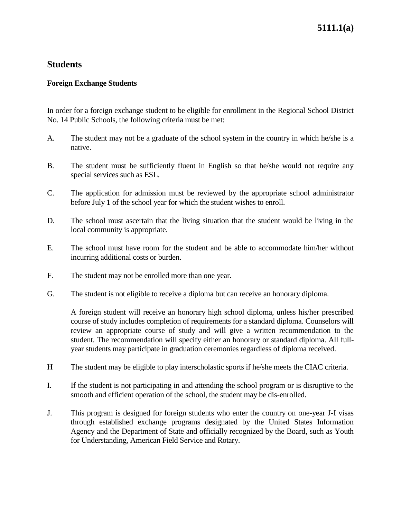# **5111.1(a)**

### **Students**

#### **Foreign Exchange Students**

In order for a foreign exchange student to be eligible for enrollment in the Regional School District No. 14 Public Schools, the following criteria must be met:

- A. The student may not be a graduate of the school system in the country in which he/she is a native.
- B. The student must be sufficiently fluent in English so that he/she would not require any special services such as ESL.
- C. The application for admission must be reviewed by the appropriate school administrator before July 1 of the school year for which the student wishes to enroll.
- D. The school must ascertain that the living situation that the student would be living in the local community is appropriate.
- E. The school must have room for the student and be able to accommodate him/her without incurring additional costs or burden.
- F. The student may not be enrolled more than one year.
- G. The student is not eligible to receive a diploma but can receive an honorary diploma.

A foreign student will receive an honorary high school diploma, unless his/her prescribed course of study includes completion of requirements for a standard diploma. Counselors will review an appropriate course of study and will give a written recommendation to the student. The recommendation will specify either an honorary or standard diploma. All fullyear students may participate in graduation ceremonies regardless of diploma received.

- H The student may be eligible to play interscholastic sports if he/she meets the CIAC criteria.
- I. If the student is not participating in and attending the school program or is disruptive to the smooth and efficient operation of the school, the student may be dis-enrolled.
- J. This program is designed for foreign students who enter the country on one-year J-I visas through established exchange programs designated by the United States Information Agency and the Department of State and officially recognized by the Board, such as Youth for Understanding, American Field Service and Rotary.